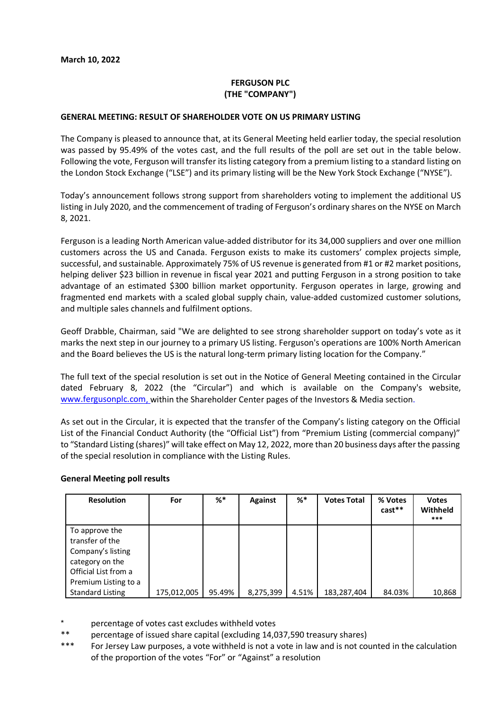# **FERGUSON PLC (THE "COMPANY")**

### **GENERAL MEETING: RESULT OF SHAREHOLDER VOTE ON US PRIMARY LISTING**

The Company is pleased to announce that, at its General Meeting held earlier today, the special resolution was passed by 95.49% of the votes cast, and the full results of the poll are set out in the table below. Following the vote, Ferguson will transfer its listing category from a premium listing to a standard listing on the London Stock Exchange ("LSE") and its primary listing will be the New York Stock Exchange ("NYSE").

Today's announcement follows strong support from shareholders voting to implement the additional US listing in July 2020, and the commencement of trading of Ferguson's ordinary shares on the NYSE on March 8, 2021.

Ferguson is a leading North American value-added distributor for its 34,000 suppliers and over one million customers across the US and Canada. Ferguson exists to make its customers' complex projects simple, successful, and sustainable. Approximately 75% of US revenue is generated from #1 or #2 market positions, helping deliver \$23 billion in revenue in fiscal year 2021 and putting Ferguson in a strong position to take advantage of an estimated \$300 billion market opportunity. Ferguson operates in large, growing and fragmented end markets with a scaled global supply chain, value-added customized customer solutions, and multiple sales channels and fulfilment options.

Geoff Drabble, Chairman, said "We are delighted to see strong shareholder support on today's vote as it marks the next step in our journey to a primary US listing. Ferguson's operations are 100% North American and the Board believes the US is the natural long-term primary listing location for the Company."

The full text of the special resolution is set out in the Notice of General Meeting contained in the Circular dated February 8, 2022 (the "Circular") and which is available on the Company's website, [www.fergusonplc.com,](http://www.fergusonplc.com/) within the Shareholder Center pages of the Investors & Media section.

As set out in the Circular, it is expected that the transfer of the Company's listing category on the Official List of the Financial Conduct Authority (the "Official List") from "Premium Listing (commercial company)" to "Standard Listing (shares)" will take effect on May 12, 2022, more than 20 business days after the passing of the special resolution in compliance with the Listing Rules.

#### **General Meeting poll results**

| <b>Resolution</b>                                                                                                         | For         | %*     | <b>Against</b> | $\%^*$ | <b>Votes Total</b> | % Votes<br>$cast**$ | <b>Votes</b><br>Withheld<br>*** |
|---------------------------------------------------------------------------------------------------------------------------|-------------|--------|----------------|--------|--------------------|---------------------|---------------------------------|
| To approve the<br>transfer of the<br>Company's listing<br>category on the<br>Official List from a<br>Premium Listing to a |             |        |                |        |                    |                     |                                 |
| <b>Standard Listing</b>                                                                                                   | 175,012,005 | 95.49% | 8,275,399      | 4.51%  | 183,287,404        | 84.03%              | 10,868                          |

- percentage of votes cast excludes withheld votes
- \*\* percentage of issued share capital (excluding 14,037,590 treasury shares)
- \*\*\* For Jersey Law purposes, a vote withheld is not a vote in law and is not counted in the calculation of the proportion of the votes "For" or "Against" a resolution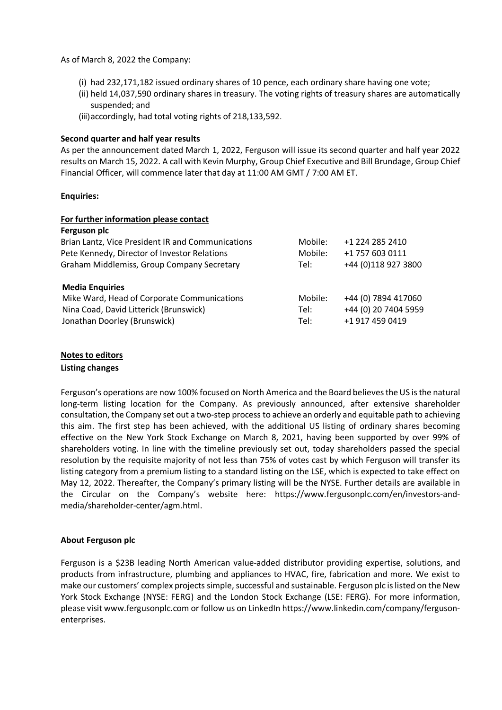As of March 8, 2022 the Company:

- (i) had 232,171,182 issued ordinary shares of 10 pence, each ordinary share having one vote;
- (ii) held 14,037,590 ordinary shares in treasury. The voting rights of treasury shares are automatically suspended; and
- (iii)accordingly, had total voting rights of 218,133,592.

## **Second quarter and half year results**

As per the announcement dated March 1, 2022, Ferguson will issue its second quarter and half year 2022 results on March 15, 2022. A call with Kevin Murphy, Group Chief Executive and Bill Brundage, Group Chief Financial Officer, will commence later that day at 11:00 AM GMT / 7:00 AM ET.

### **Enquiries:**

| For further information please contact            |         |                      |
|---------------------------------------------------|---------|----------------------|
| Ferguson plc                                      |         |                      |
| Brian Lantz, Vice President IR and Communications | Mobile: | +1 224 285 2410      |
| Pete Kennedy, Director of Investor Relations      | Mobile: | +1 757 603 0111      |
| Graham Middlemiss, Group Company Secretary        | Tel:    | +44 (0) 118 927 3800 |
| <b>Media Enquiries</b>                            |         |                      |
| Mike Ward, Head of Corporate Communications       | Mobile: | +44 (0) 7894 417060  |
| Nina Coad, David Litterick (Brunswick)            | Tel:    | +44 (0) 20 7404 5959 |
| Jonathan Doorley (Brunswick)                      | Tel:    | +1 917 459 0419      |

# **Notes to editors**

### **Listing changes**

Ferguson's operations are now 100% focused on North America and the Board believes the US is the natural long-term listing location for the Company. As previously announced, after extensive shareholder consultation, the Company set out a two-step process to achieve an orderly and equitable path to achieving this aim. The first step has been achieved, with the additional US listing of ordinary shares becoming effective on the New York Stock Exchange on March 8, 2021, having been supported by over 99% of shareholders voting. In line with the timeline previously set out, today shareholders passed the special resolution by the requisite majority of not less than 75% of votes cast by which Ferguson will transfer its listing category from a premium listing to a standard listing on the LSE, which is expected to take effect on May 12, 2022. Thereafter, the Company's primary listing will be the NYSE. Further details are available in the Circular on the Company's website here: [https://www.fergusonplc.com/en/investors-and](https://www.fergusonplc.com/en/investors-and-media/shareholder-center/agm.html)[media/shareholder-center/agm.html.](https://www.fergusonplc.com/en/investors-and-media/shareholder-center/agm.html)

## **About Ferguson plc**

Ferguson is a \$23B leading North American value-added distributor providing expertise, solutions, and products from infrastructure, plumbing and appliances to HVAC, fire, fabrication and more. We exist to make our customers' complex projects simple, successful and sustainable. Ferguson plc is listed on the New York Stock Exchange (NYSE: FERG) and the London Stock Exchange (LSE: FERG). For more information, please visit www.fergusonplc.com or follow us on LinkedIn [https://www.linkedin.com/company/ferguson](https://www.linkedin.com/company/ferguson-enterprises/)[enterprises.](https://www.linkedin.com/company/ferguson-enterprises/)